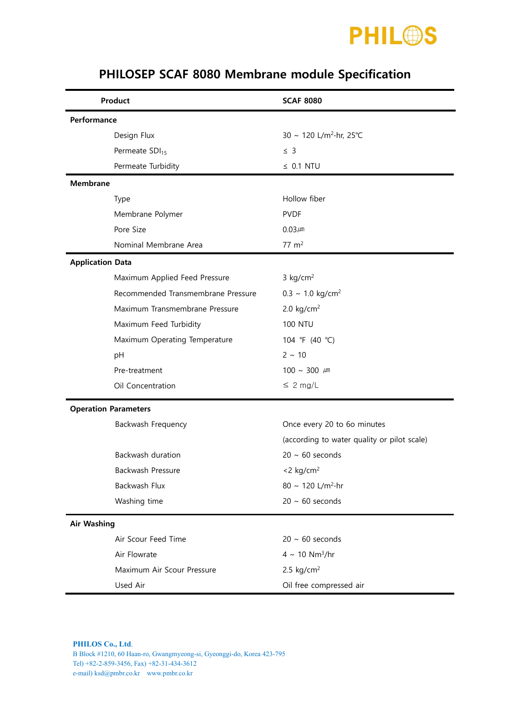

| Product                            | <b>SCAF 8080</b>                            |  |
|------------------------------------|---------------------------------------------|--|
| Performance                        |                                             |  |
| Design Flux                        | 30 ~ 120 L/m <sup>2</sup> ·hr, 25°C         |  |
| Permeate SDI <sub>15</sub>         | $\leq$ 3                                    |  |
| Permeate Turbidity                 | $\leq$ 0.1 NTU                              |  |
| <b>Membrane</b>                    |                                             |  |
| Type                               | Hollow fiber                                |  |
| Membrane Polymer                   | <b>PVDF</b>                                 |  |
| Pore Size                          | $0.03 \mu m$                                |  |
| Nominal Membrane Area              | $77 \text{ m}^2$                            |  |
| <b>Application Data</b>            |                                             |  |
| Maximum Applied Feed Pressure      | $3$ kg/cm <sup>2</sup>                      |  |
| Recommended Transmembrane Pressure | $0.3 \sim 1.0 \text{ kg/cm}^2$              |  |
| Maximum Transmembrane Pressure     | 2.0 $kg/cm2$                                |  |
| Maximum Feed Turbidity             | <b>100 NTU</b>                              |  |
| Maximum Operating Temperature      | 104 °F (40 °C)                              |  |
| pH                                 | $2 \sim 10$                                 |  |
| Pre-treatment                      | $100 \sim 300 \mu m$                        |  |
| Oil Concentration                  | $\leq 2$ mg/L                               |  |
| <b>Operation Parameters</b>        |                                             |  |
| Backwash Frequency                 | Once every 20 to 6o minutes                 |  |
|                                    | (according to water quality or pilot scale) |  |
| Backwash duration                  | $20 \sim 60$ seconds                        |  |
| Backwash Pressure                  | $<$ 2 kg/cm <sup>2</sup>                    |  |
| Backwash Flux                      | 80 ~ 120 L/m <sup>2</sup> ·hr               |  |
| Washing time                       | $20 \sim 60$ seconds                        |  |
| <b>Air Washing</b>                 |                                             |  |
| Air Scour Feed Time                | $20 \sim 60$ seconds                        |  |
| Air Flowrate                       | $4 \sim 10 \text{ Nm}^3/\text{hr}$          |  |
| Maximum Air Scour Pressure         | 2.5 $kg/cm2$                                |  |
| Used Air                           | Oil free compressed air                     |  |

## PHILOSEP SCAF 8080 Membrane module Specification